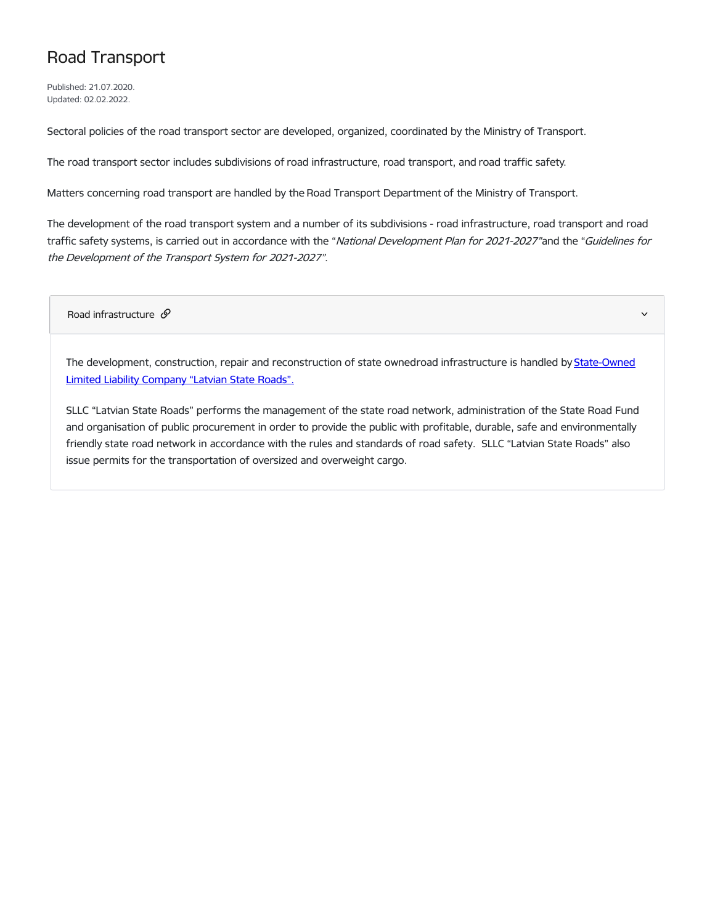## Road Transport

Published: 21.07.2020. Updated: 02.02.2022.

Sectoral policies of the road transport sector are developed, organized, coordinated by the Ministry of Transport.

The road transport sector includes subdivisions of road infrastructure, road transport, and road traffic safety.

Matters concerning road transport are handled by the Road Transport Department of the Ministry of Transport.

The development of the road transport system and a number of its subdivisions - road infrastructure, road transport and road traffic safety systems, is carried out in accordance with the "National Development Plan for 2021-2027"and the "Guidelines for the Development of the Transport System for 2021-2027".

Road infrastructure  $\mathscr{S}$ 

The development, construction, repair and [reconstruction](https://lvceli.lv/en/sakumlapa-english/) of state ownedroad infrastructure is handled by State-Owned Limited Liability Company "Latvian State Roads".

SLLC "Latvian State Roads" performs the management of the state road network, administration of the State Road Fund and organisation of public procurement in order to provide the public with profitable, durable, safe and environmentally friendly state road network in accordance with the rules and standards of road safety. SLLC "Latvian State Roads" also issue permits for the transportation of oversized and overweight cargo.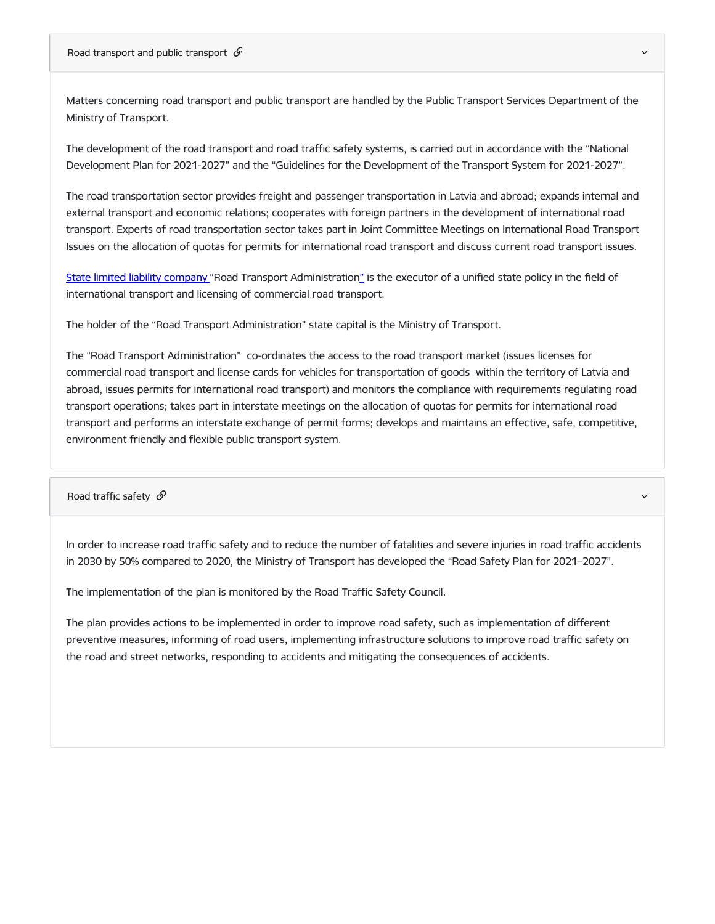Road transport and public transport  $\mathcal S$ 

Matters concerning road transport and public transport are handled by the Public Transport Services Department of the Ministry of Transport.

The development of the road transport and road traffic safety systems, is carried out in accordance with the "National Development Plan for 2021-2027" and the "Guidelines for the Development of the Transport System for 2021-2027".

The road transportation sector provides freight and passenger transportation in Latvia and abroad; expands internal and external transport and economic relations; cooperates with foreign partners in the development of international road transport. Experts of road transportation sector takes part in Joint Committee Meetings on International Road Transport Issues on the allocation of quotas for permits for international road transport and discuss current road transport issues.

State limited liability [company](http://www.atd.lv/en) "Road Transport Administratio[n"](http://www.atd.lv/en) is the executor of a unified state policy in the field of international transport and licensing of commercial road transport.

The holder of the "Road Transport Administration" state capital is the Ministry of Transport.

The "Road Transport Administration" co-ordinates the access to the road transport market (issues licenses for commercial road transport and license cards for vehicles for transportation of goods within the territory of Latvia and abroad, issues permits for international road transport) and monitors the compliance with requirements regulating road transport operations; takes part in interstate meetings on the allocation of quotas for permits for international road transport and performs an interstate exchange of permit forms; develops and maintains an effective, safe, competitive, environment friendly and flexible public transport system.

Road traffic safety  $\mathcal O$ 

In order to increase road traffic safety and to reduce the number of fatalities and severe injuries in road traffic accidents in 2030 by 50% compared to 2020, the Ministry of Transport has developed the "Road Safety Plan for 2021–2027".

The implementation of the plan is monitored by the Road Traffic Safety Council.

The plan provides actions to be implemented in order to improve road safety, such as implementation of different preventive measures, informing of road users, implementing infrastructure solutions to improve road traffic safety on the road and street networks, responding to accidents and mitigating the consequences of accidents.